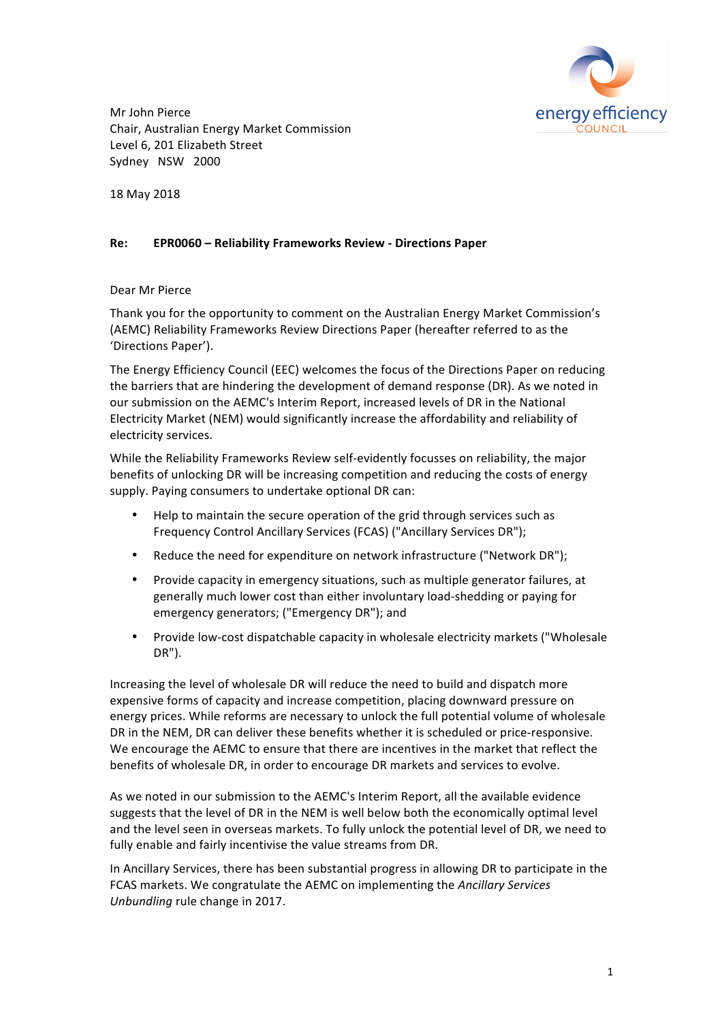

Mr John Pierce Chair, Australian Energy Market Commission Level 6, 201 Elizabeth Street Sydney NSW 2000

18 May 2018

### **Re: EPR0060 – Reliability Frameworks Review - Directions Paper**

#### Dear Mr Pierce

Thank you for the opportunity to comment on the Australian Energy Market Commission's (AEMC) Reliability Frameworks Review Directions Paper (hereafter referred to as the 'Directions Paper').

The Energy Efficiency Council (EEC) welcomes the focus of the Directions Paper on reducing the barriers that are hindering the development of demand response (DR). As we noted in our submission on the AEMC's Interim Report, increased levels of DR in the National Electricity Market (NEM) would significantly increase the affordability and reliability of electricity services.

While the Reliability Frameworks Review self-evidently focusses on reliability, the major benefits of unlocking DR will be increasing competition and reducing the costs of energy supply. Paying consumers to undertake optional DR can:

- Help to maintain the secure operation of the grid through services such as Frequency Control Ancillary Services (FCAS) ("Ancillary Services DR");
- Reduce the need for expenditure on network infrastructure ("Network DR");
- Provide capacity in emergency situations, such as multiple generator failures, at generally much lower cost than either involuntary load-shedding or paying for emergency generators; ("Emergency DR"); and
- Provide low-cost dispatchable capacity in wholesale electricity markets ("Wholesale DR").

Increasing the level of wholesale DR will reduce the need to build and dispatch more expensive forms of capacity and increase competition, placing downward pressure on energy prices. While reforms are necessary to unlock the full potential volume of wholesale DR in the NEM, DR can deliver these benefits whether it is scheduled or price-responsive. We encourage the AEMC to ensure that there are incentives in the market that reflect the benefits of wholesale DR, in order to encourage DR markets and services to evolve.

As we noted in our submission to the AEMC's Interim Report, all the available evidence suggests that the level of DR in the NEM is well below both the economically optimal level and the level seen in overseas markets. To fully unlock the potential level of DR, we need to fully enable and fairly incentivise the value streams from DR.

In Ancillary Services, there has been substantial progress in allowing DR to participate in the FCAS markets. We congratulate the AEMC on implementing the Ancillary Services *Unbundling* rule change in 2017.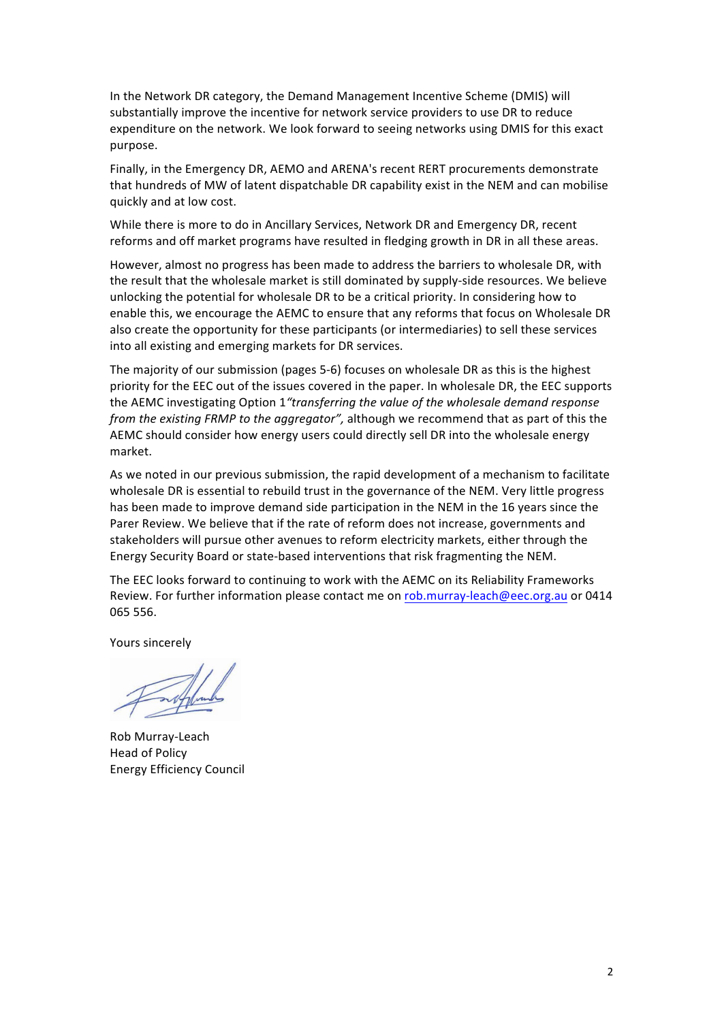In the Network DR category, the Demand Management Incentive Scheme (DMIS) will substantially improve the incentive for network service providers to use DR to reduce expenditure on the network. We look forward to seeing networks using DMIS for this exact purpose.

Finally, in the Emergency DR, AEMO and ARENA's recent RERT procurements demonstrate that hundreds of MW of latent dispatchable DR capability exist in the NEM and can mobilise quickly and at low cost. 

While there is more to do in Ancillary Services, Network DR and Emergency DR, recent reforms and off market programs have resulted in fledging growth in DR in all these areas.

However, almost no progress has been made to address the barriers to wholesale DR, with the result that the wholesale market is still dominated by supply-side resources. We believe unlocking the potential for wholesale DR to be a critical priority. In considering how to enable this, we encourage the AEMC to ensure that any reforms that focus on Wholesale DR also create the opportunity for these participants (or intermediaries) to sell these services into all existing and emerging markets for DR services.

The majority of our submission (pages 5-6) focuses on wholesale DR as this is the highest priority for the EEC out of the issues covered in the paper. In wholesale DR, the EEC supports the AEMC investigating Option 1<sup>"</sup>transferring the value of the wholesale demand response *from* the existing FRMP to the aggregator", although we recommend that as part of this the AEMC should consider how energy users could directly sell DR into the wholesale energy market.

As we noted in our previous submission, the rapid development of a mechanism to facilitate wholesale DR is essential to rebuild trust in the governance of the NEM. Very little progress has been made to improve demand side participation in the NEM in the 16 years since the Parer Review. We believe that if the rate of reform does not increase, governments and stakeholders will pursue other avenues to reform electricity markets, either through the Energy Security Board or state-based interventions that risk fragmenting the NEM.

The EEC looks forward to continuing to work with the AEMC on its Reliability Frameworks Review. For further information please contact me on rob.murray-leach@eec.org.au or 0414 065 556.

Yours sincerely

Rob Murray-Leach Head of Policy Energy Efficiency Council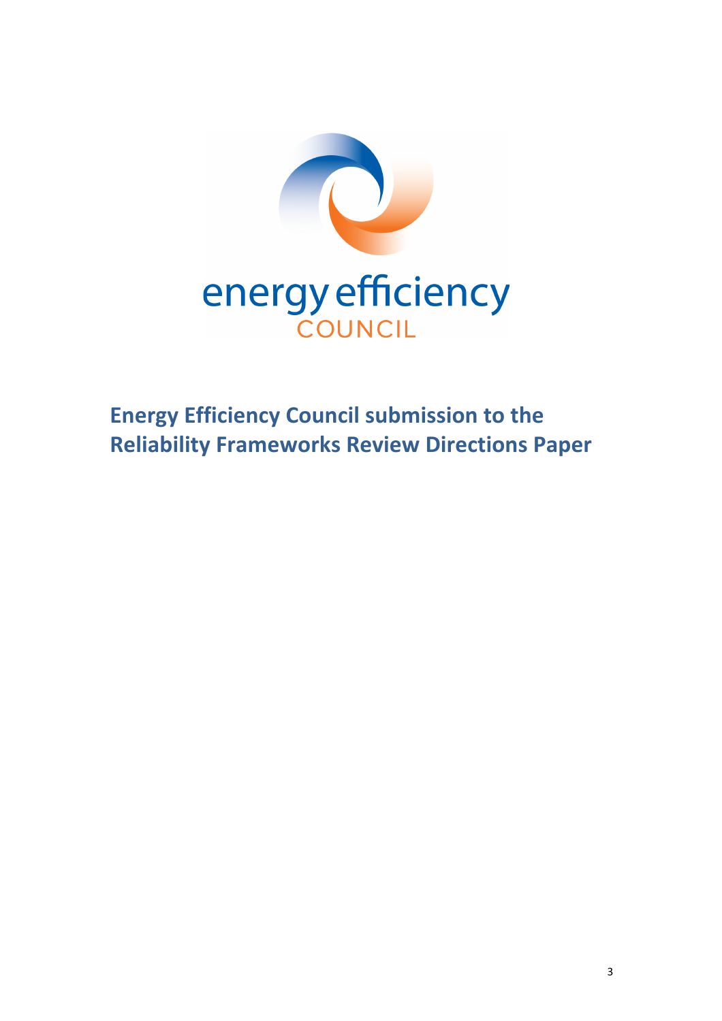

**Energy Efficiency Council submission to the Reliability Frameworks Review Directions Paper**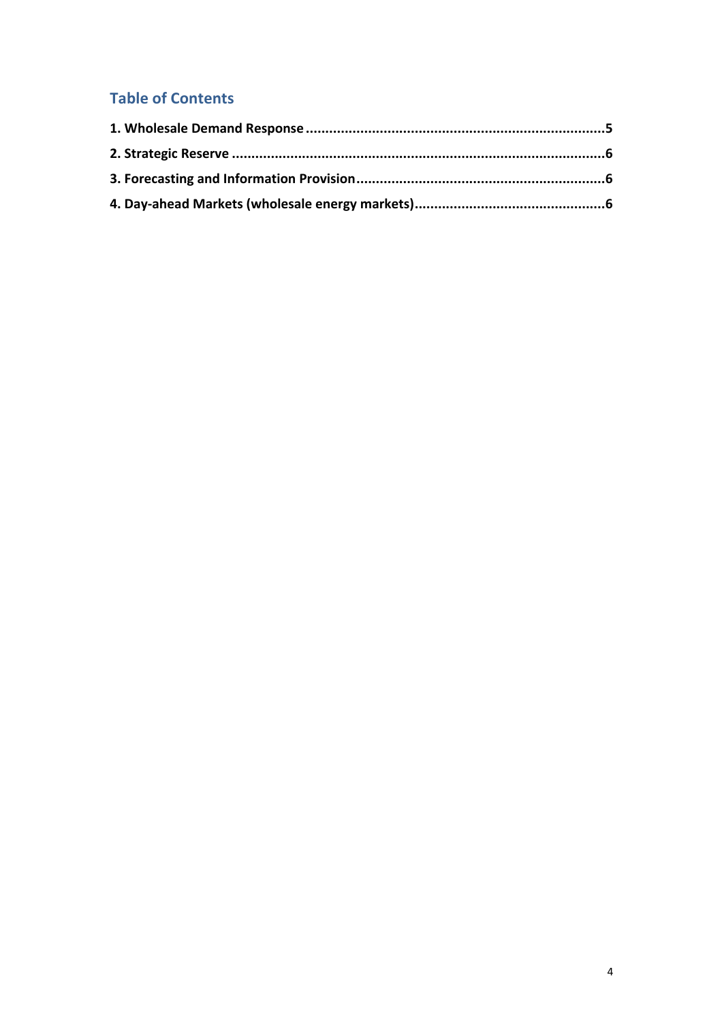## **Table of Contents**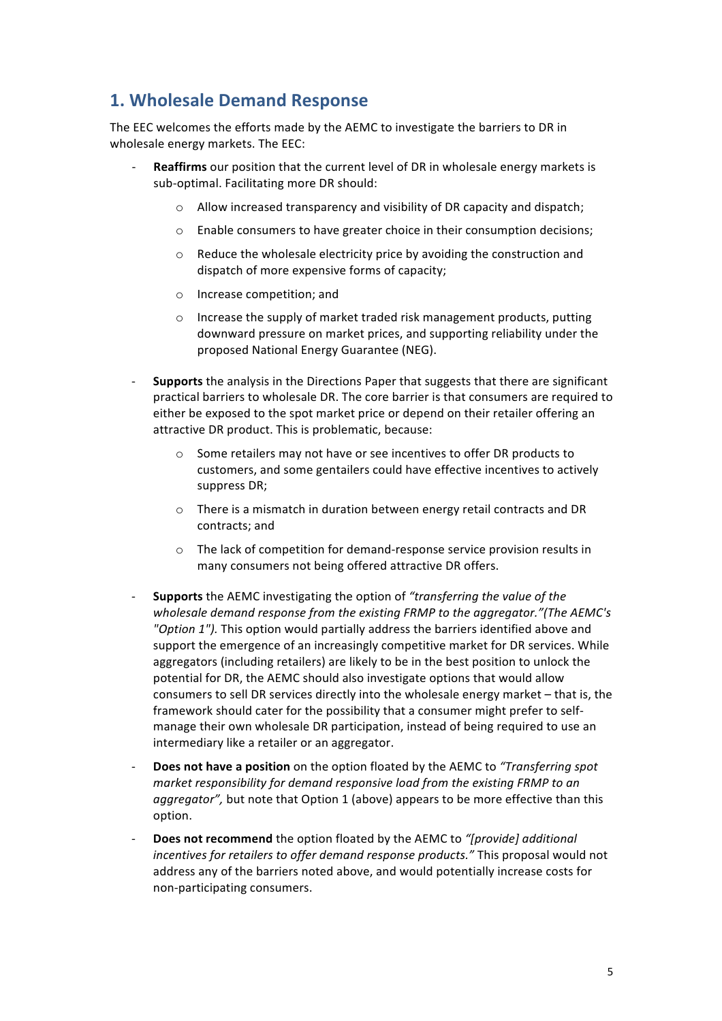### **1. Wholesale Demand Response**

The EEC welcomes the efforts made by the AEMC to investigate the barriers to DR in wholesale energy markets. The EEC:

- **Reaffirms** our position that the current level of DR in wholesale energy markets is sub-optimal. Facilitating more DR should:
	- $\circ$  Allow increased transparency and visibility of DR capacity and dispatch;
	- $\circ$  Enable consumers to have greater choice in their consumption decisions;
	- $\circ$  Reduce the wholesale electricity price by avoiding the construction and dispatch of more expensive forms of capacity;
	- o Increase competition; and
	- $\circ$  Increase the supply of market traded risk management products, putting downward pressure on market prices, and supporting reliability under the proposed National Energy Guarantee (NEG).
- **Supports** the analysis in the Directions Paper that suggests that there are significant practical barriers to wholesale DR. The core barrier is that consumers are required to either be exposed to the spot market price or depend on their retailer offering an attractive DR product. This is problematic, because:
	- $\circ$  Some retailers may not have or see incentives to offer DR products to customers, and some gentailers could have effective incentives to actively suppress DR;
	- $\circ$  There is a mismatch in duration between energy retail contracts and DR contracts: and
	- $\circ$  The lack of competition for demand-response service provision results in many consumers not being offered attractive DR offers.
- **Supports** the AEMC investigating the option of "transferring the value of the wholesale demand response from the existing FRMP to the aggregator."(The AEMC's "Option 1"). This option would partially address the barriers identified above and support the emergence of an increasingly competitive market for DR services. While aggregators (including retailers) are likely to be in the best position to unlock the potential for DR, the AEMC should also investigate options that would allow consumers to sell DR services directly into the wholesale energy market – that is, the framework should cater for the possibility that a consumer might prefer to selfmanage their own wholesale DR participation, instead of being required to use an intermediary like a retailer or an aggregator.
- **Does not have a position** on the option floated by the AEMC to "Transferring spot *market responsibility for demand responsive load from the existing FRMP to an aggregator"*, but note that Option 1 (above) appears to be more effective than this option.
- **Does not recommend** the option floated by the AEMC to "[provide] additional *incentives for retailers to offer demand response products."* This proposal would not address any of the barriers noted above, and would potentially increase costs for non-participating consumers.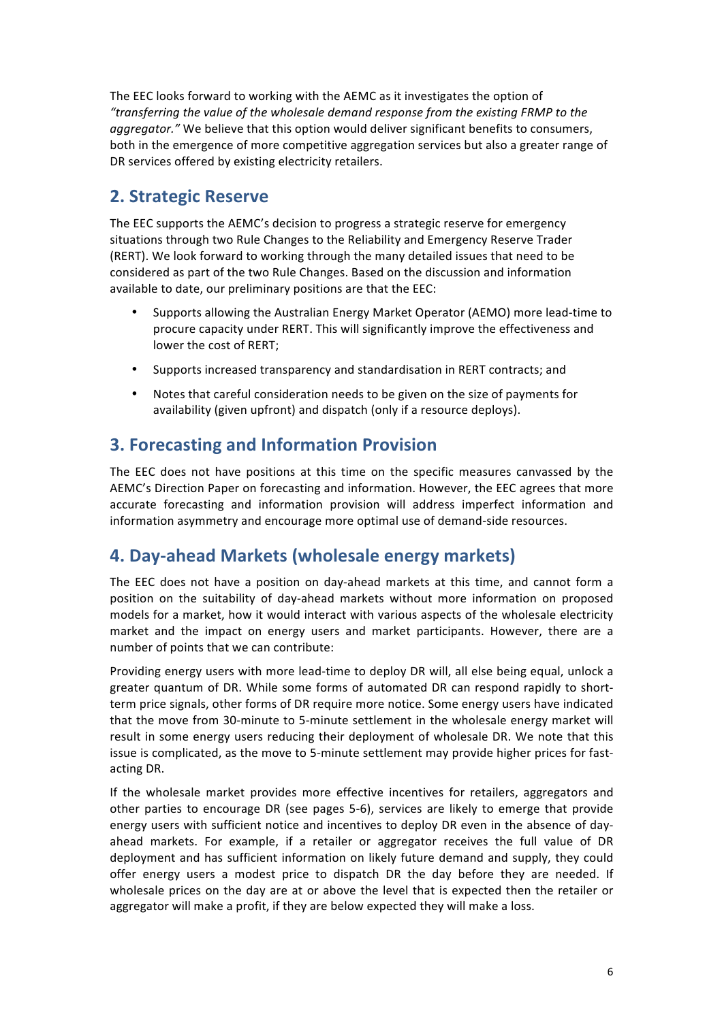The EEC looks forward to working with the AEMC as it investigates the option of "transferring the value of the wholesale demand response from the existing FRMP to the *aggregator."* We believe that this option would deliver significant benefits to consumers, both in the emergence of more competitive aggregation services but also a greater range of DR services offered by existing electricity retailers.

# **2. Strategic Reserve**

The EEC supports the AEMC's decision to progress a strategic reserve for emergency situations through two Rule Changes to the Reliability and Emergency Reserve Trader (RERT). We look forward to working through the many detailed issues that need to be considered as part of the two Rule Changes. Based on the discussion and information available to date, our preliminary positions are that the EEC:

- Supports allowing the Australian Energy Market Operator (AEMO) more lead-time to procure capacity under RERT. This will significantly improve the effectiveness and lower the cost of RERT:
- Supports increased transparency and standardisation in RERT contracts; and
- Notes that careful consideration needs to be given on the size of payments for availability (given upfront) and dispatch (only if a resource deploys).

## **3. Forecasting and Information Provision**

The EEC does not have positions at this time on the specific measures canvassed by the AEMC's Direction Paper on forecasting and information. However, the EEC agrees that more accurate forecasting and information provision will address imperfect information and information asymmetry and encourage more optimal use of demand-side resources.

## **4. Day-ahead Markets (wholesale energy markets)**

The EEC does not have a position on day-ahead markets at this time, and cannot form a position on the suitability of day-ahead markets without more information on proposed models for a market, how it would interact with various aspects of the wholesale electricity market and the impact on energy users and market participants. However, there are a number of points that we can contribute:

Providing energy users with more lead-time to deploy DR will, all else being equal, unlock a greater quantum of DR. While some forms of automated DR can respond rapidly to shortterm price signals, other forms of DR require more notice. Some energy users have indicated that the move from 30-minute to 5-minute settlement in the wholesale energy market will result in some energy users reducing their deployment of wholesale DR. We note that this issue is complicated, as the move to 5-minute settlement may provide higher prices for fastacting DR.

If the wholesale market provides more effective incentives for retailers, aggregators and other parties to encourage DR (see pages 5-6), services are likely to emerge that provide energy users with sufficient notice and incentives to deploy DR even in the absence of dayahead markets. For example, if a retailer or aggregator receives the full value of DR deployment and has sufficient information on likely future demand and supply, they could offer energy users a modest price to dispatch DR the day before they are needed. If wholesale prices on the day are at or above the level that is expected then the retailer or aggregator will make a profit, if they are below expected they will make a loss.